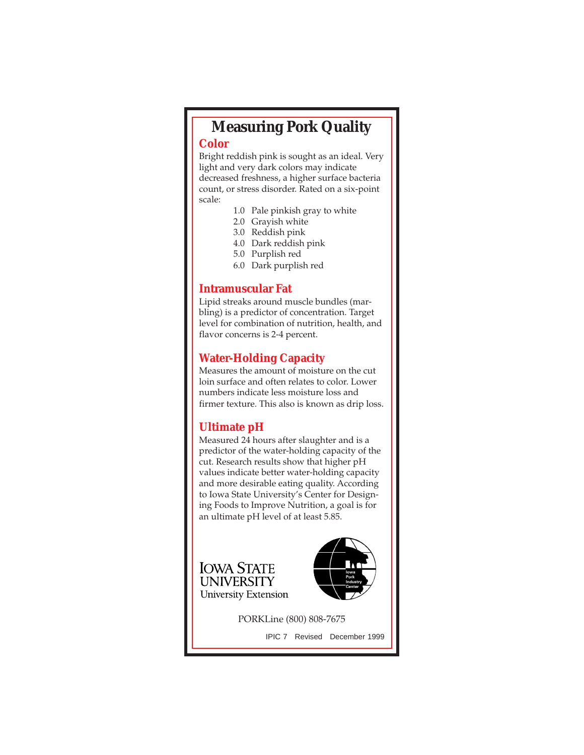# **Measuring Pork Quality**

#### **Color**

Bright reddish pink is sought as an ideal. Very light and very dark colors may indicate decreased freshness, a higher surface bacteria count, or stress disorder. Rated on a six-point scale:

- 1.0 Pale pinkish gray to white
- 2.0 Grayish white
- 3.0 Reddish pink
- 4.0 Dark reddish pink
- 5.0 Purplish red
- 6.0 Dark purplish red

### **Intramuscular Fat**

Lipid streaks around muscle bundles (marbling) is a predictor of concentration. Target level for combination of nutrition, health, and flavor concerns is 2-4 percent.

# **Water-Holding Capacity**

Measures the amount of moisture on the cut loin surface and often relates to color. Lower numbers indicate less moisture loss and firmer texture. This also is known as drip loss.

## **Ultimate pH**

Measured 24 hours after slaughter and is a predictor of the water-holding capacity of the cut. Research results show that higher pH values indicate better water-holding capacity and more desirable eating quality. According to Iowa State University's Center for Designing Foods to Improve Nutrition, a goal is for an ultimate pH level of at least 5.85.





PORKLine (800) 808-7675

IPIC 7 Revised December 1999